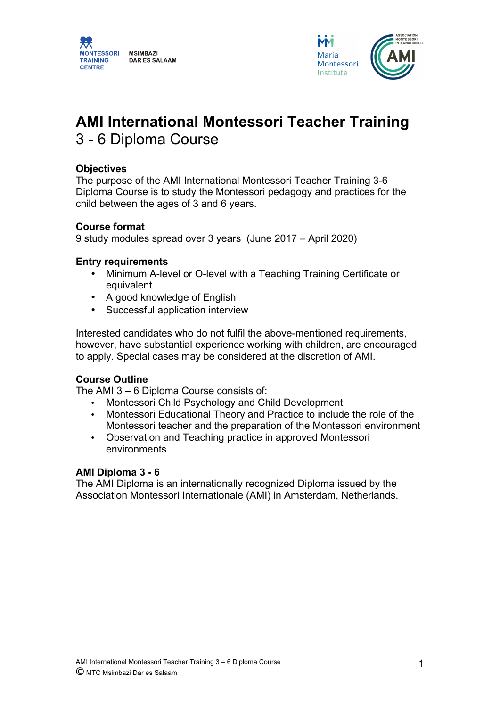



# **AMI International Montessori Teacher Training** 3 - 6 Diploma Course

### **Objectives**

The purpose of the AMI International Montessori Teacher Training 3-6 Diploma Course is to study the Montessori pedagogy and practices for the child between the ages of 3 and 6 years.

#### **Course format**

9 study modules spread over 3 years (June 2017 – April 2020)

### **Entry requirements**

- Minimum A-level or O-level with a Teaching Training Certificate or equivalent
- A good knowledge of English
- Successful application interview

Interested candidates who do not fulfil the above-mentioned requirements, however, have substantial experience working with children, are encouraged to apply. Special cases may be considered at the discretion of AMI.

### **Course Outline**

The AMI 3 – 6 Diploma Course consists of:

- Montessori Child Psychology and Child Development
- Montessori Educational Theory and Practice to include the role of the Montessori teacher and the preparation of the Montessori environment
- Observation and Teaching practice in approved Montessori environments

#### **AMI Diploma 3 - 6**

The AMI Diploma is an internationally recognized Diploma issued by the Association Montessori Internationale (AMI) in Amsterdam, Netherlands.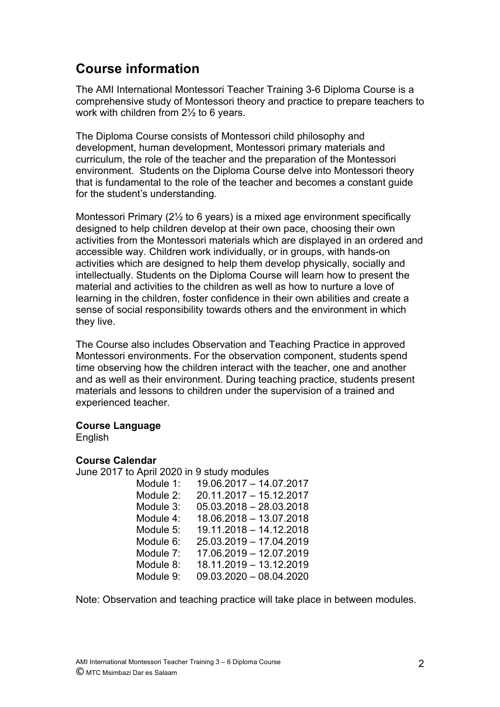# **Course information**

The AMI International Montessori Teacher Training 3-6 Diploma Course is a comprehensive study of Montessori theory and practice to prepare teachers to work with children from 2½ to 6 years.

The Diploma Course consists of Montessori child philosophy and development, human development, Montessori primary materials and curriculum, the role of the teacher and the preparation of the Montessori environment. Students on the Diploma Course delve into Montessori theory that is fundamental to the role of the teacher and becomes a constant guide for the student's understanding.

Montessori Primary (2½ to 6 years) is a mixed age environment specifically designed to help children develop at their own pace, choosing their own activities from the Montessori materials which are displayed in an ordered and accessible way. Children work individually, or in groups, with hands-on activities which are designed to help them develop physically, socially and intellectually. Students on the Diploma Course will learn how to present the material and activities to the children as well as how to nurture a love of learning in the children, foster confidence in their own abilities and create a sense of social responsibility towards others and the environment in which they live.

The Course also includes Observation and Teaching Practice in approved Montessori environments. For the observation component, students spend time observing how the children interact with the teacher, one and another and as well as their environment. During teaching practice, students present materials and lessons to children under the supervision of a trained and experienced teacher.

### **Course Language**

English

### **Course Calendar**

June 2017 to April 2020 in 9 study modules

| Module 1: | 19.06.2017 - 14.07.2017 |
|-----------|-------------------------|
| Module 2: | 20.11.2017 - 15.12.2017 |
| Module 3: | 05.03.2018 - 28.03.2018 |
| Module 4: | 18.06.2018 - 13.07.2018 |
| Module 5: | 19.11.2018 - 14.12.2018 |
| Module 6: | 25.03.2019 - 17.04.2019 |
| Module 7: | 17.06.2019 - 12.07.2019 |
| Module 8: | 18.11.2019 - 13.12.2019 |
| Module 9: | 09.03.2020 - 08.04.2020 |
|           |                         |

Note: Observation and teaching practice will take place in between modules.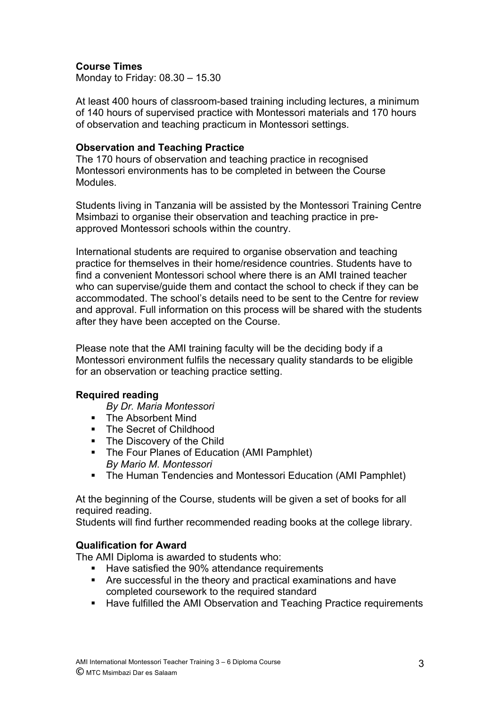### **Course Times**

Monday to Friday: 08.30 – 15.30

At least 400 hours of classroom-based training including lectures, a minimum of 140 hours of supervised practice with Montessori materials and 170 hours of observation and teaching practicum in Montessori settings.

### **Observation and Teaching Practice**

The 170 hours of observation and teaching practice in recognised Montessori environments has to be completed in between the Course **Modules** 

Students living in Tanzania will be assisted by the Montessori Training Centre Msimbazi to organise their observation and teaching practice in preapproved Montessori schools within the country.

International students are required to organise observation and teaching practice for themselves in their home/residence countries. Students have to find a convenient Montessori school where there is an AMI trained teacher who can supervise/guide them and contact the school to check if they can be accommodated. The school's details need to be sent to the Centre for review and approval. Full information on this process will be shared with the students after they have been accepted on the Course.

Please note that the AMI training faculty will be the deciding body if a Montessori environment fulfils the necessary quality standards to be eligible for an observation or teaching practice setting.

### **Required reading**

*By Dr. Maria Montessori*

- § The Absorbent Mind
- The Secret of Childhood
- **•** The Discovery of the Child
- The Four Planes of Education (AMI Pamphlet) *By Mario M. Montessori*
- The Human Tendencies and Montessori Education (AMI Pamphlet)

At the beginning of the Course, students will be given a set of books for all required reading.

Students will find further recommended reading books at the college library.

### **Qualification for Award**

The AMI Diploma is awarded to students who:

- Have satisfied the 90% attendance requirements
- § Are successful in the theory and practical examinations and have completed coursework to the required standard
- Have fulfilled the AMI Observation and Teaching Practice requirements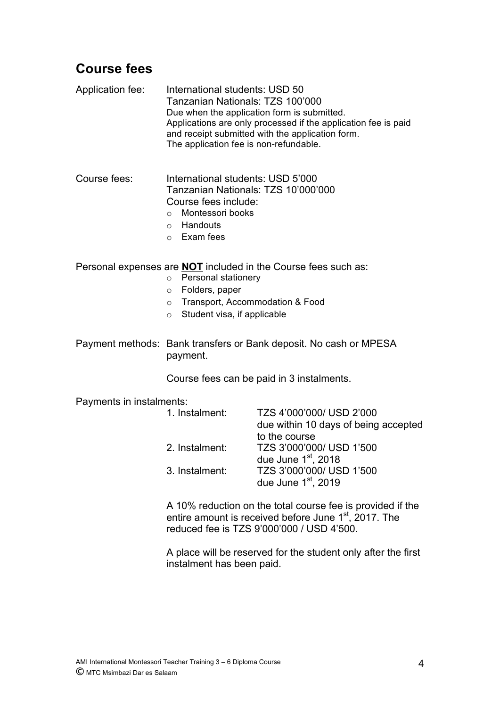## **Course fees**

Application fee: International students: USD 50 Tanzanian Nationals: TZS 100'000 Due when the application form is submitted. Applications are only processed if the application fee is paid and receipt submitted with the application form. The application fee is non-refundable.

Course fees: International students: USD 5'000 Tanzanian Nationals: TZS 10'000'000 Course fees include:

- o Montessori books
- o Handouts
- o Exam fees

Personal expenses are **NOT** included in the Course fees such as:

- o Personal stationery
- o Folders, paper
- o Transport, Accommodation & Food
- o Student visa, if applicable

Payment methods: Bank transfers or Bank deposit. No cash or MPESA payment.

Course fees can be paid in 3 instalments.

Payments in instalments:

| TZS 4'000'000/ USD 2'000             |
|--------------------------------------|
| due within 10 days of being accepted |
| to the course                        |
| TZS 3'000'000/ USD 1'500             |
| due June $1st$ , 2018                |
| TZS 3'000'000/ USD 1'500             |
| due June $1st$ , 2019                |
|                                      |

A 10% reduction on the total course fee is provided if the entire amount is received before June 1<sup>st</sup>, 2017. The reduced fee is TZS 9'000'000 / USD 4'500.

A place will be reserved for the student only after the first instalment has been paid.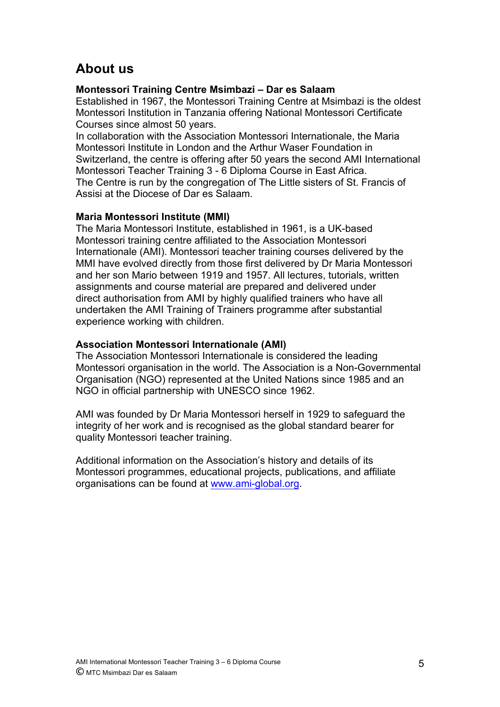# **About us**

### **Montessori Training Centre Msimbazi – Dar es Salaam**

Established in 1967, the Montessori Training Centre at Msimbazi is the oldest Montessori Institution in Tanzania offering National Montessori Certificate Courses since almost 50 years.

In collaboration with the Association Montessori Internationale, the Maria Montessori Institute in London and the Arthur Waser Foundation in Switzerland, the centre is offering after 50 years the second AMI International Montessori Teacher Training 3 - 6 Diploma Course in East Africa. The Centre is run by the congregation of The Little sisters of St. Francis of Assisi at the Diocese of Dar es Salaam.

### **Maria Montessori Institute (MMI)**

The Maria Montessori Institute, established in 1961, is a UK-based Montessori training centre affiliated to the Association Montessori Internationale (AMI). Montessori teacher training courses delivered by the MMI have evolved directly from those first delivered by Dr Maria Montessori and her son Mario between 1919 and 1957. All lectures, tutorials, written assignments and course material are prepared and delivered under direct authorisation from AMI by highly qualified trainers who have all undertaken the AMI Training of Trainers programme after substantial experience working with children.

### **Association Montessori Internationale (AMI)**

The Association Montessori Internationale is considered the leading Montessori organisation in the world. The Association is a Non-Governmental Organisation (NGO) represented at the United Nations since 1985 and an NGO in official partnership with UNESCO since 1962.

AMI was founded by Dr Maria Montessori herself in 1929 to safeguard the integrity of her work and is recognised as the global standard bearer for quality Montessori teacher training.

Additional information on the Association's history and details of its Montessori programmes, educational projects, publications, and affiliate organisations can be found at www.ami-global.org.